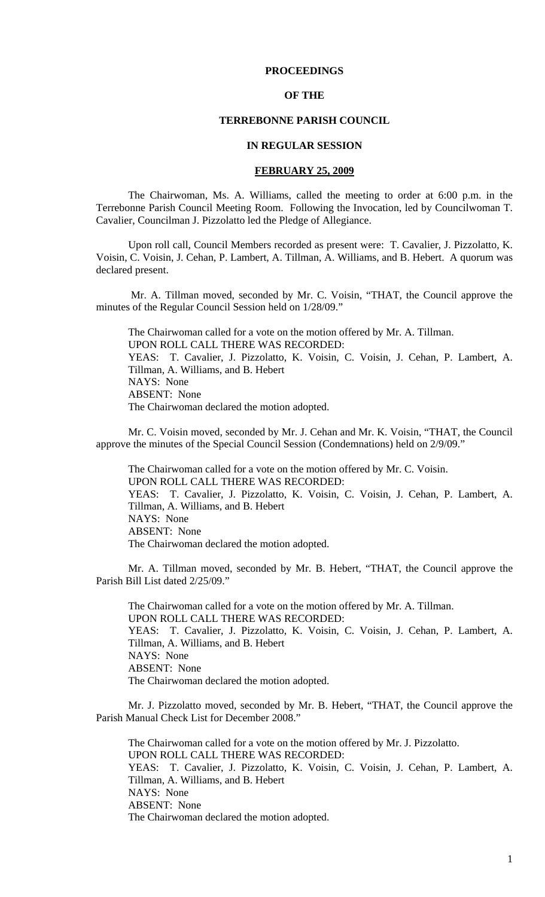# **PROCEEDINGS**

# **OF THE**

# **TERREBONNE PARISH COUNCIL**

### **IN REGULAR SESSION**

#### **FEBRUARY 25, 2009**

 The Chairwoman, Ms. A. Williams, called the meeting to order at 6:00 p.m. in the Terrebonne Parish Council Meeting Room. Following the Invocation, led by Councilwoman T. Cavalier, Councilman J. Pizzolatto led the Pledge of Allegiance.

Upon roll call, Council Members recorded as present were: T. Cavalier, J. Pizzolatto, K. Voisin, C. Voisin, J. Cehan, P. Lambert, A. Tillman, A. Williams, and B. Hebert. A quorum was declared present.

 Mr. A. Tillman moved, seconded by Mr. C. Voisin, "THAT, the Council approve the minutes of the Regular Council Session held on 1/28/09."

The Chairwoman called for a vote on the motion offered by Mr. A. Tillman. UPON ROLL CALL THERE WAS RECORDED: YEAS: T. Cavalier, J. Pizzolatto, K. Voisin, C. Voisin, J. Cehan, P. Lambert, A. Tillman, A. Williams, and B. Hebert NAYS: None ABSENT: None The Chairwoman declared the motion adopted.

 Mr. C. Voisin moved, seconded by Mr. J. Cehan and Mr. K. Voisin, "THAT, the Council approve the minutes of the Special Council Session (Condemnations) held on 2/9/09."

The Chairwoman called for a vote on the motion offered by Mr. C. Voisin. UPON ROLL CALL THERE WAS RECORDED: YEAS: T. Cavalier, J. Pizzolatto, K. Voisin, C. Voisin, J. Cehan, P. Lambert, A. Tillman, A. Williams, and B. Hebert NAYS: None ABSENT: None The Chairwoman declared the motion adopted.

Mr. A. Tillman moved, seconded by Mr. B. Hebert, "THAT, the Council approve the Parish Bill List dated 2/25/09."

The Chairwoman called for a vote on the motion offered by Mr. A. Tillman. UPON ROLL CALL THERE WAS RECORDED: YEAS: T. Cavalier, J. Pizzolatto, K. Voisin, C. Voisin, J. Cehan, P. Lambert, A. Tillman, A. Williams, and B. Hebert NAYS: None ABSENT: None The Chairwoman declared the motion adopted.

Mr. J. Pizzolatto moved, seconded by Mr. B. Hebert, "THAT, the Council approve the Parish Manual Check List for December 2008."

The Chairwoman called for a vote on the motion offered by Mr. J. Pizzolatto. UPON ROLL CALL THERE WAS RECORDED: YEAS: T. Cavalier, J. Pizzolatto, K. Voisin, C. Voisin, J. Cehan, P. Lambert, A. Tillman, A. Williams, and B. Hebert NAYS: None ABSENT: None The Chairwoman declared the motion adopted.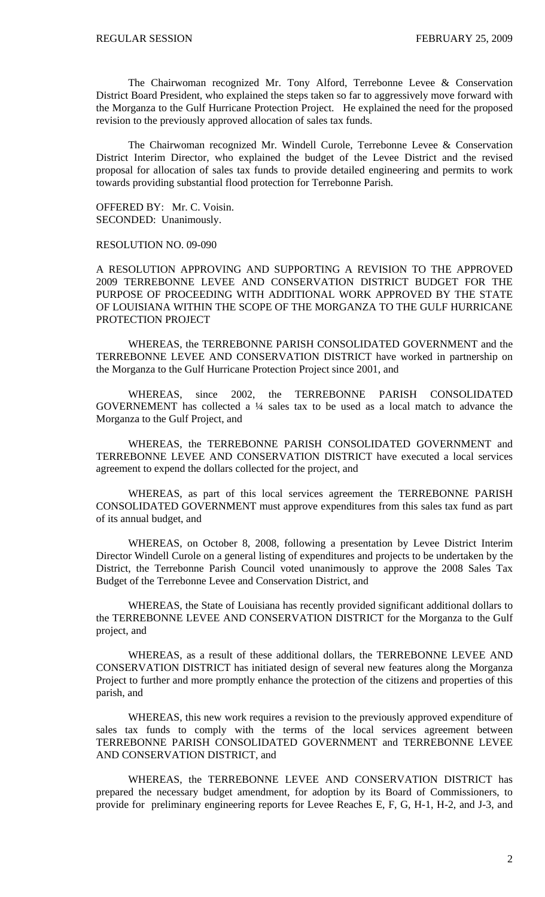The Chairwoman recognized Mr. Tony Alford, Terrebonne Levee & Conservation District Board President, who explained the steps taken so far to aggressively move forward with the Morganza to the Gulf Hurricane Protection Project. He explained the need for the proposed revision to the previously approved allocation of sales tax funds.

The Chairwoman recognized Mr. Windell Curole, Terrebonne Levee & Conservation District Interim Director, who explained the budget of the Levee District and the revised proposal for allocation of sales tax funds to provide detailed engineering and permits to work towards providing substantial flood protection for Terrebonne Parish.

OFFERED BY: Mr. C. Voisin. SECONDED: Unanimously.

RESOLUTION NO. 09-090

A RESOLUTION APPROVING AND SUPPORTING A REVISION TO THE APPROVED 2009 TERREBONNE LEVEE AND CONSERVATION DISTRICT BUDGET FOR THE PURPOSE OF PROCEEDING WITH ADDITIONAL WORK APPROVED BY THE STATE OF LOUISIANA WITHIN THE SCOPE OF THE MORGANZA TO THE GULF HURRICANE PROTECTION PROJECT

WHEREAS, the TERREBONNE PARISH CONSOLIDATED GOVERNMENT and the TERREBONNE LEVEE AND CONSERVATION DISTRICT have worked in partnership on the Morganza to the Gulf Hurricane Protection Project since 2001, and

WHEREAS, since 2002, the TERREBONNE PARISH CONSOLIDATED GOVERNEMENT has collected a ¼ sales tax to be used as a local match to advance the Morganza to the Gulf Project, and

WHEREAS, the TERREBONNE PARISH CONSOLIDATED GOVERNMENT and TERREBONNE LEVEE AND CONSERVATION DISTRICT have executed a local services agreement to expend the dollars collected for the project, and

WHEREAS, as part of this local services agreement the TERREBONNE PARISH CONSOLIDATED GOVERNMENT must approve expenditures from this sales tax fund as part of its annual budget, and

 WHEREAS, on October 8, 2008, following a presentation by Levee District Interim Director Windell Curole on a general listing of expenditures and projects to be undertaken by the District, the Terrebonne Parish Council voted unanimously to approve the 2008 Sales Tax Budget of the Terrebonne Levee and Conservation District, and

 WHEREAS, the State of Louisiana has recently provided significant additional dollars to the TERREBONNE LEVEE AND CONSERVATION DISTRICT for the Morganza to the Gulf project, and

WHEREAS, as a result of these additional dollars, the TERREBONNE LEVEE AND CONSERVATION DISTRICT has initiated design of several new features along the Morganza Project to further and more promptly enhance the protection of the citizens and properties of this parish, and

WHEREAS, this new work requires a revision to the previously approved expenditure of sales tax funds to comply with the terms of the local services agreement between TERREBONNE PARISH CONSOLIDATED GOVERNMENT and TERREBONNE LEVEE AND CONSERVATION DISTRICT, and

WHEREAS, the TERREBONNE LEVEE AND CONSERVATION DISTRICT has prepared the necessary budget amendment, for adoption by its Board of Commissioners, to provide for preliminary engineering reports for Levee Reaches E, F, G, H-1, H-2, and J-3, and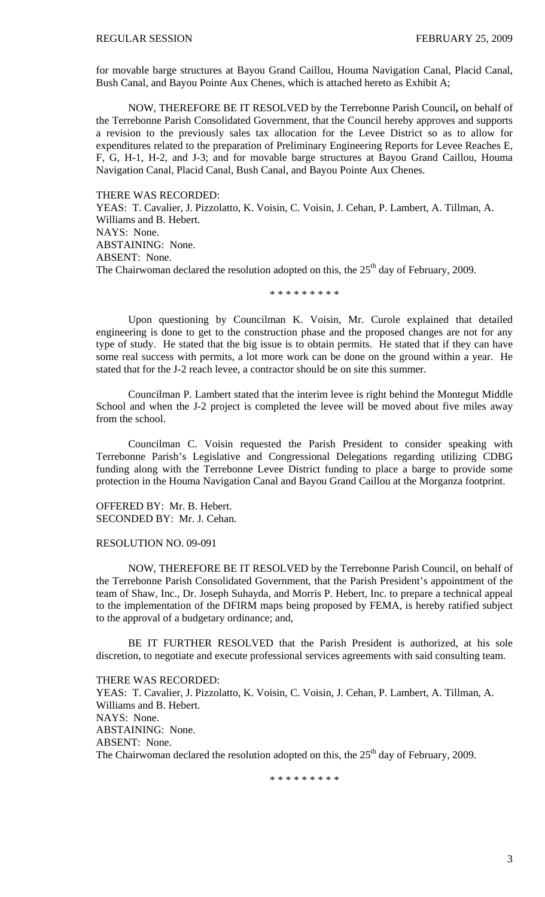for movable barge structures at Bayou Grand Caillou, Houma Navigation Canal, Placid Canal, Bush Canal, and Bayou Pointe Aux Chenes, which is attached hereto as Exhibit A;

 NOW, THEREFORE BE IT RESOLVED by the Terrebonne Parish Council**,** on behalf of the Terrebonne Parish Consolidated Government, that the Council hereby approves and supports a revision to the previously sales tax allocation for the Levee District so as to allow for expenditures related to the preparation of Preliminary Engineering Reports for Levee Reaches E, F, G, H-1, H-2, and J-3; and for movable barge structures at Bayou Grand Caillou, Houma Navigation Canal, Placid Canal, Bush Canal, and Bayou Pointe Aux Chenes.

THERE WAS RECORDED:

YEAS: T. Cavalier, J. Pizzolatto, K. Voisin, C. Voisin, J. Cehan, P. Lambert, A. Tillman, A. Williams and B. Hebert. NAYS: None. ABSTAINING: None. ABSENT: None. The Chairwoman declared the resolution adopted on this, the  $25<sup>th</sup>$  day of February, 2009.

\* \* \* \* \* \* \* \* \*

Upon questioning by Councilman K. Voisin, Mr. Curole explained that detailed engineering is done to get to the construction phase and the proposed changes are not for any type of study. He stated that the big issue is to obtain permits. He stated that if they can have some real success with permits, a lot more work can be done on the ground within a year. He stated that for the J-2 reach levee, a contractor should be on site this summer.

Councilman P. Lambert stated that the interim levee is right behind the Montegut Middle School and when the J-2 project is completed the levee will be moved about five miles away from the school.

Councilman C. Voisin requested the Parish President to consider speaking with Terrebonne Parish's Legislative and Congressional Delegations regarding utilizing CDBG funding along with the Terrebonne Levee District funding to place a barge to provide some protection in the Houma Navigation Canal and Bayou Grand Caillou at the Morganza footprint.

OFFERED BY: Mr. B. Hebert. SECONDED BY: Mr. J. Cehan.

#### RESOLUTION NO. 09-091

 NOW, THEREFORE BE IT RESOLVED by the Terrebonne Parish Council, on behalf of the Terrebonne Parish Consolidated Government, that the Parish President's appointment of the team of Shaw, Inc., Dr. Joseph Suhayda, and Morris P. Hebert, Inc. to prepare a technical appeal to the implementation of the DFIRM maps being proposed by FEMA, is hereby ratified subject to the approval of a budgetary ordinance; and,

 BE IT FURTHER RESOLVED that the Parish President is authorized, at his sole discretion, to negotiate and execute professional services agreements with said consulting team.

THERE WAS RECORDED: YEAS: T. Cavalier, J. Pizzolatto, K. Voisin, C. Voisin, J. Cehan, P. Lambert, A. Tillman, A. Williams and B. Hebert. NAYS: None. ABSTAINING: None. ABSENT: None. The Chairwoman declared the resolution adopted on this, the  $25<sup>th</sup>$  day of February, 2009.

\* \* \* \* \* \* \* \* \*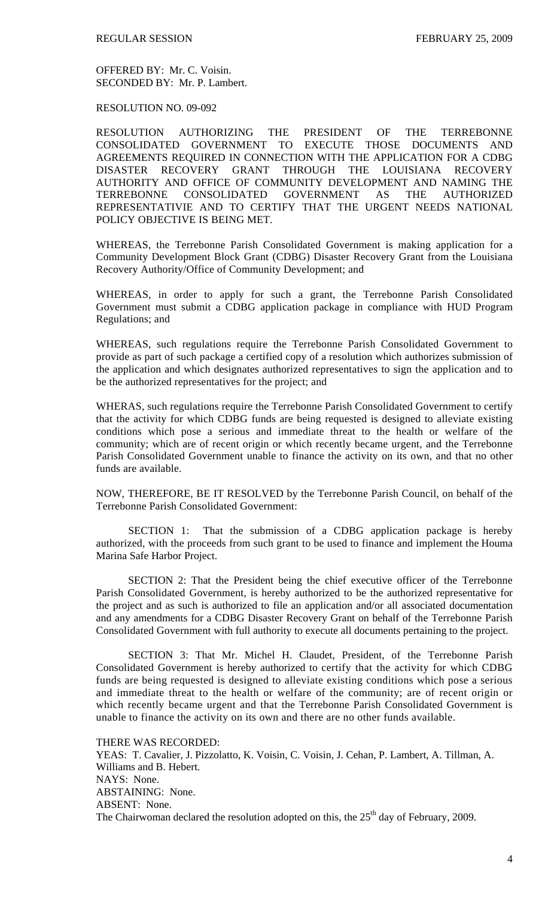OFFERED BY: Mr. C. Voisin. SECONDED BY: Mr. P. Lambert.

RESOLUTION NO. 09-092

RESOLUTION AUTHORIZING THE PRESIDENT OF THE TERREBONNE CONSOLIDATED GOVERNMENT TO EXECUTE THOSE DOCUMENTS AND AGREEMENTS REQUIRED IN CONNECTION WITH THE APPLICATION FOR A CDBG DISASTER RECOVERY GRANT THROUGH THE LOUISIANA RECOVERY AUTHORITY AND OFFICE OF COMMUNITY DEVELOPMENT AND NAMING THE TERREBONNE CONSOLIDATED GOVERNMENT AS THE AUTHORIZED REPRESENTATIVIE AND TO CERTIFY THAT THE URGENT NEEDS NATIONAL POLICY OBJECTIVE IS BEING MET.

WHEREAS, the Terrebonne Parish Consolidated Government is making application for a Community Development Block Grant (CDBG) Disaster Recovery Grant from the Louisiana Recovery Authority/Office of Community Development; and

WHEREAS, in order to apply for such a grant, the Terrebonne Parish Consolidated Government must submit a CDBG application package in compliance with HUD Program Regulations; and

WHEREAS, such regulations require the Terrebonne Parish Consolidated Government to provide as part of such package a certified copy of a resolution which authorizes submission of the application and which designates authorized representatives to sign the application and to be the authorized representatives for the project; and

WHERAS, such regulations require the Terrebonne Parish Consolidated Government to certify that the activity for which CDBG funds are being requested is designed to alleviate existing conditions which pose a serious and immediate threat to the health or welfare of the community; which are of recent origin or which recently became urgent, and the Terrebonne Parish Consolidated Government unable to finance the activity on its own, and that no other funds are available.

NOW, THEREFORE, BE IT RESOLVED by the Terrebonne Parish Council, on behalf of the Terrebonne Parish Consolidated Government:

 SECTION 1: That the submission of a CDBG application package is hereby authorized, with the proceeds from such grant to be used to finance and implement the Houma Marina Safe Harbor Project.

 SECTION 2: That the President being the chief executive officer of the Terrebonne Parish Consolidated Government, is hereby authorized to be the authorized representative for the project and as such is authorized to file an application and/or all associated documentation and any amendments for a CDBG Disaster Recovery Grant on behalf of the Terrebonne Parish Consolidated Government with full authority to execute all documents pertaining to the project.

 SECTION 3: That Mr. Michel H. Claudet, President, of the Terrebonne Parish Consolidated Government is hereby authorized to certify that the activity for which CDBG funds are being requested is designed to alleviate existing conditions which pose a serious and immediate threat to the health or welfare of the community; are of recent origin or which recently became urgent and that the Terrebonne Parish Consolidated Government is unable to finance the activity on its own and there are no other funds available.

THERE WAS RECORDED: YEAS: T. Cavalier, J. Pizzolatto, K. Voisin, C. Voisin, J. Cehan, P. Lambert, A. Tillman, A. Williams and B. Hebert. NAYS: None. ABSTAINING: None. ABSENT: None. The Chairwoman declared the resolution adopted on this, the  $25<sup>th</sup>$  day of February, 2009.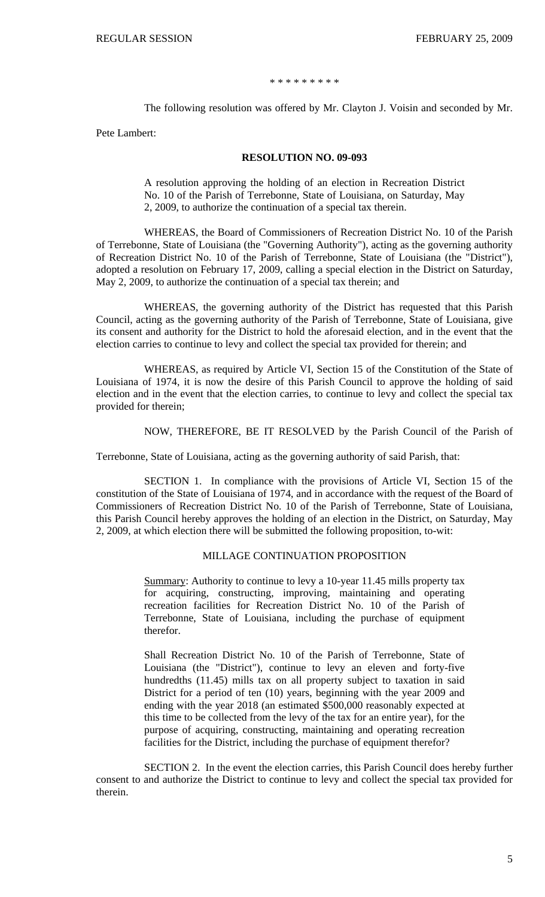\* \* \* \* \* \* \* \* \*

The following resolution was offered by Mr. Clayton J. Voisin and seconded by Mr.

Pete Lambert:

#### **RESOLUTION NO. 09-093**

A resolution approving the holding of an election in Recreation District No. 10 of the Parish of Terrebonne, State of Louisiana, on Saturday, May 2, 2009, to authorize the continuation of a special tax therein.

WHEREAS, the Board of Commissioners of Recreation District No. 10 of the Parish of Terrebonne, State of Louisiana (the "Governing Authority"), acting as the governing authority of Recreation District No. 10 of the Parish of Terrebonne, State of Louisiana (the "District"), adopted a resolution on February 17, 2009, calling a special election in the District on Saturday, May 2, 2009, to authorize the continuation of a special tax therein; and

WHEREAS, the governing authority of the District has requested that this Parish Council, acting as the governing authority of the Parish of Terrebonne, State of Louisiana, give its consent and authority for the District to hold the aforesaid election, and in the event that the election carries to continue to levy and collect the special tax provided for therein; and

WHEREAS, as required by Article VI, Section 15 of the Constitution of the State of Louisiana of 1974, it is now the desire of this Parish Council to approve the holding of said election and in the event that the election carries, to continue to levy and collect the special tax provided for therein;

NOW, THEREFORE, BE IT RESOLVED by the Parish Council of the Parish of

Terrebonne, State of Louisiana, acting as the governing authority of said Parish, that:

SECTION 1. In compliance with the provisions of Article VI, Section 15 of the constitution of the State of Louisiana of 1974, and in accordance with the request of the Board of Commissioners of Recreation District No. 10 of the Parish of Terrebonne, State of Louisiana, this Parish Council hereby approves the holding of an election in the District, on Saturday, May 2, 2009, at which election there will be submitted the following proposition, to-wit:

### MILLAGE CONTINUATION PROPOSITION

Summary: Authority to continue to levy a 10-year 11.45 mills property tax for acquiring, constructing, improving, maintaining and operating recreation facilities for Recreation District No. 10 of the Parish of Terrebonne, State of Louisiana, including the purchase of equipment therefor.

Shall Recreation District No. 10 of the Parish of Terrebonne, State of Louisiana (the "District"), continue to levy an eleven and forty-five hundredths (11.45) mills tax on all property subject to taxation in said District for a period of ten (10) years, beginning with the year 2009 and ending with the year 2018 (an estimated \$500,000 reasonably expected at this time to be collected from the levy of the tax for an entire year), for the purpose of acquiring, constructing, maintaining and operating recreation facilities for the District, including the purchase of equipment therefor?

SECTION 2. In the event the election carries, this Parish Council does hereby further consent to and authorize the District to continue to levy and collect the special tax provided for therein.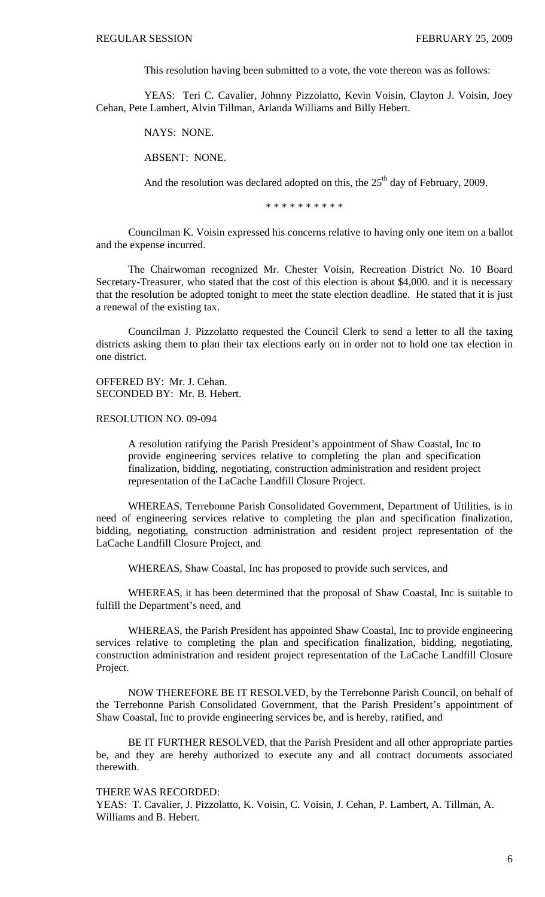This resolution having been submitted to a vote, the vote thereon was as follows:

YEAS: Teri C. Cavalier, Johnny Pizzolatto, Kevin Voisin, Clayton J. Voisin, Joey Cehan, Pete Lambert, Alvin Tillman, Arlanda Williams and Billy Hebert.

NAYS: NONE.

ABSENT: NONE.

And the resolution was declared adopted on this, the  $25<sup>th</sup>$  day of February, 2009.

\* \* \* \* \* \* \* \* \* \*

 Councilman K. Voisin expressed his concerns relative to having only one item on a ballot and the expense incurred.

 The Chairwoman recognized Mr. Chester Voisin, Recreation District No. 10 Board Secretary-Treasurer, who stated that the cost of this election is about \$4,000. and it is necessary that the resolution be adopted tonight to meet the state election deadline. He stated that it is just a renewal of the existing tax.

 Councilman J. Pizzolatto requested the Council Clerk to send a letter to all the taxing districts asking them to plan their tax elections early on in order not to hold one tax election in one district.

OFFERED BY: Mr. J. Cehan. SECONDED BY: Mr. B. Hebert.

RESOLUTION NO. 09-094

A resolution ratifying the Parish President's appointment of Shaw Coastal, Inc to provide engineering services relative to completing the plan and specification finalization, bidding, negotiating, construction administration and resident project representation of the LaCache Landfill Closure Project.

 WHEREAS, Terrebonne Parish Consolidated Government, Department of Utilities, is in need of engineering services relative to completing the plan and specification finalization, bidding, negotiating, construction administration and resident project representation of the LaCache Landfill Closure Project, and

WHEREAS, Shaw Coastal, Inc has proposed to provide such services, and

 WHEREAS, it has been determined that the proposal of Shaw Coastal, Inc is suitable to fulfill the Department's need, and

 WHEREAS, the Parish President has appointed Shaw Coastal, Inc to provide engineering services relative to completing the plan and specification finalization, bidding, negotiating, construction administration and resident project representation of the LaCache Landfill Closure Project.

NOW THEREFORE BE IT RESOLVED, by the Terrebonne Parish Council, on behalf of the Terrebonne Parish Consolidated Government, that the Parish President's appointment of Shaw Coastal, Inc to provide engineering services be, and is hereby, ratified, and

BE IT FURTHER RESOLVED, that the Parish President and all other appropriate parties be, and they are hereby authorized to execute any and all contract documents associated therewith.

#### THERE WAS RECORDED:

YEAS: T. Cavalier, J. Pizzolatto, K. Voisin, C. Voisin, J. Cehan, P. Lambert, A. Tillman, A. Williams and B. Hebert.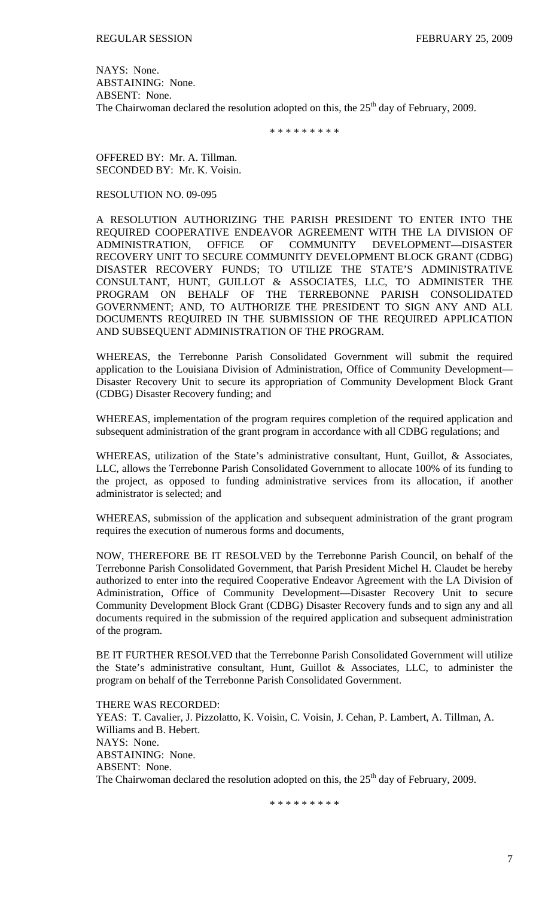NAYS: None. ABSTAINING: None. ABSENT: None. The Chairwoman declared the resolution adopted on this, the  $25<sup>th</sup>$  day of February, 2009.

\* \* \* \* \* \* \* \* \*

OFFERED BY: Mr. A. Tillman. SECONDED BY: Mr. K. Voisin.

# RESOLUTION NO. 09-095

A RESOLUTION AUTHORIZING THE PARISH PRESIDENT TO ENTER INTO THE REQUIRED COOPERATIVE ENDEAVOR AGREEMENT WITH THE LA DIVISION OF ADMINISTRATION, OFFICE OF COMMUNITY DEVELOPMENT—DISASTER RECOVERY UNIT TO SECURE COMMUNITY DEVELOPMENT BLOCK GRANT (CDBG) DISASTER RECOVERY FUNDS; TO UTILIZE THE STATE'S ADMINISTRATIVE CONSULTANT, HUNT, GUILLOT & ASSOCIATES, LLC, TO ADMINISTER THE PROGRAM ON BEHALF OF THE TERREBONNE PARISH CONSOLIDATED GOVERNMENT; AND, TO AUTHORIZE THE PRESIDENT TO SIGN ANY AND ALL DOCUMENTS REQUIRED IN THE SUBMISSION OF THE REQUIRED APPLICATION AND SUBSEQUENT ADMINISTRATION OF THE PROGRAM.

WHEREAS, the Terrebonne Parish Consolidated Government will submit the required application to the Louisiana Division of Administration, Office of Community Development— Disaster Recovery Unit to secure its appropriation of Community Development Block Grant (CDBG) Disaster Recovery funding; and

WHEREAS, implementation of the program requires completion of the required application and subsequent administration of the grant program in accordance with all CDBG regulations; and

WHEREAS, utilization of the State's administrative consultant, Hunt, Guillot, & Associates, LLC, allows the Terrebonne Parish Consolidated Government to allocate 100% of its funding to the project, as opposed to funding administrative services from its allocation, if another administrator is selected; and

WHEREAS, submission of the application and subsequent administration of the grant program requires the execution of numerous forms and documents,

NOW, THEREFORE BE IT RESOLVED by the Terrebonne Parish Council, on behalf of the Terrebonne Parish Consolidated Government, that Parish President [Michel H. Claudet](http://www.tpcg.org/view.php?f=administration&p=pres_bio) be hereby authorized to enter into the required Cooperative Endeavor Agreement with the LA Division of Administration, Office of Community Development—Disaster Recovery Unit to secure Community Development Block Grant (CDBG) Disaster Recovery funds and to sign any and all documents required in the submission of the required application and subsequent administration of the program.

BE IT FURTHER RESOLVED that the Terrebonne Parish Consolidated Government will utilize the State's administrative consultant, Hunt, Guillot & Associates, LLC, to administer the program on behalf of the Terrebonne Parish Consolidated Government.

THERE WAS RECORDED: YEAS: T. Cavalier, J. Pizzolatto, K. Voisin, C. Voisin, J. Cehan, P. Lambert, A. Tillman, A. Williams and B. Hebert. NAYS: None. ABSTAINING: None. ABSENT: None. The Chairwoman declared the resolution adopted on this, the  $25<sup>th</sup>$  day of February, 2009.

\* \* \* \* \* \* \* \* \*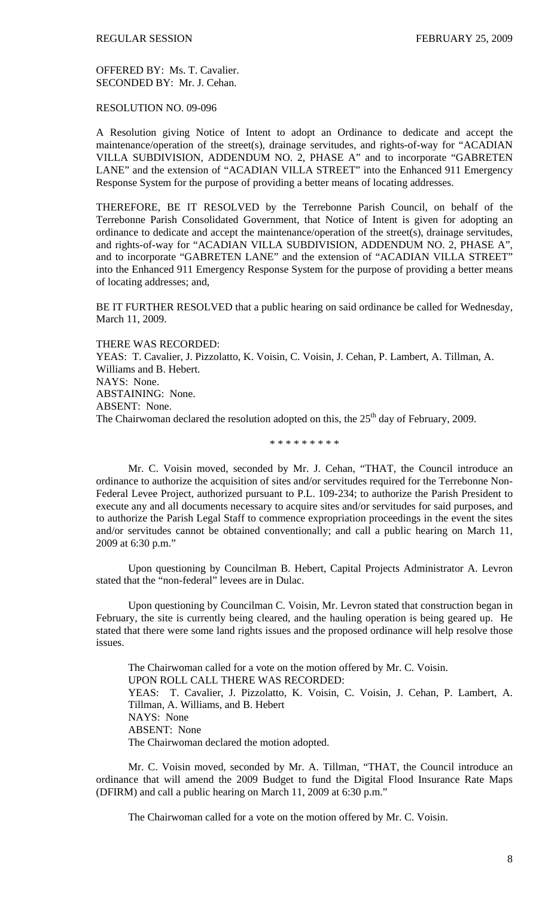OFFERED BY: Ms. T. Cavalier. SECONDED BY: Mr. J. Cehan.

RESOLUTION NO. 09-096

A Resolution giving Notice of Intent to adopt an Ordinance to dedicate and accept the maintenance/operation of the street(s), drainage servitudes, and rights-of-way for "ACADIAN VILLA SUBDIVISION, ADDENDUM NO. 2, PHASE A" and to incorporate "GABRETEN LANE" and the extension of "ACADIAN VILLA STREET" into the Enhanced 911 Emergency Response System for the purpose of providing a better means of locating addresses.

THEREFORE, BE IT RESOLVED by the Terrebonne Parish Council, on behalf of the Terrebonne Parish Consolidated Government, that Notice of Intent is given for adopting an ordinance to dedicate and accept the maintenance/operation of the street(s), drainage servitudes, and rights-of-way for "ACADIAN VILLA SUBDIVISION, ADDENDUM NO. 2, PHASE A" and to incorporate "GABRETEN LANE" and the extension of "ACADIAN VILLA STREET" into the Enhanced 911 Emergency Response System for the purpose of providing a better means of locating addresses; and,

BE IT FURTHER RESOLVED that a public hearing on said ordinance be called for Wednesday, March 11, 2009.

THERE WAS RECORDED: YEAS: T. Cavalier, J. Pizzolatto, K. Voisin, C. Voisin, J. Cehan, P. Lambert, A. Tillman, A. Williams and B. Hebert. NAYS: None. ABSTAINING: None. ABSENT: None. The Chairwoman declared the resolution adopted on this, the  $25<sup>th</sup>$  day of February, 2009.

\* \* \* \* \* \* \* \* \*

 Mr. C. Voisin moved, seconded by Mr. J. Cehan, "THAT, the Council introduce an ordinance to authorize the acquisition of sites and/or servitudes required for the Terrebonne Non-Federal Levee Project, authorized pursuant to P.L. 109-234; to authorize the Parish President to execute any and all documents necessary to acquire sites and/or servitudes for said purposes, and to authorize the Parish Legal Staff to commence expropriation proceedings in the event the sites and/or servitudes cannot be obtained conventionally; and call a public hearing on March 11, 2009 at 6:30 p.m."

 Upon questioning by Councilman B. Hebert, Capital Projects Administrator A. Levron stated that the "non-federal" levees are in Dulac.

 Upon questioning by Councilman C. Voisin, Mr. Levron stated that construction began in February, the site is currently being cleared, and the hauling operation is being geared up. He stated that there were some land rights issues and the proposed ordinance will help resolve those issues.

 The Chairwoman called for a vote on the motion offered by Mr. C. Voisin. UPON ROLL CALL THERE WAS RECORDED: YEAS: T. Cavalier, J. Pizzolatto, K. Voisin, C. Voisin, J. Cehan, P. Lambert, A. Tillman, A. Williams, and B. Hebert NAYS: None ABSENT: None The Chairwoman declared the motion adopted.

 Mr. C. Voisin moved, seconded by Mr. A. Tillman, "THAT, the Council introduce an ordinance that will amend the 2009 Budget to fund the Digital Flood Insurance Rate Maps (DFIRM) and call a public hearing on March 11, 2009 at 6:30 p.m."

The Chairwoman called for a vote on the motion offered by Mr. C. Voisin.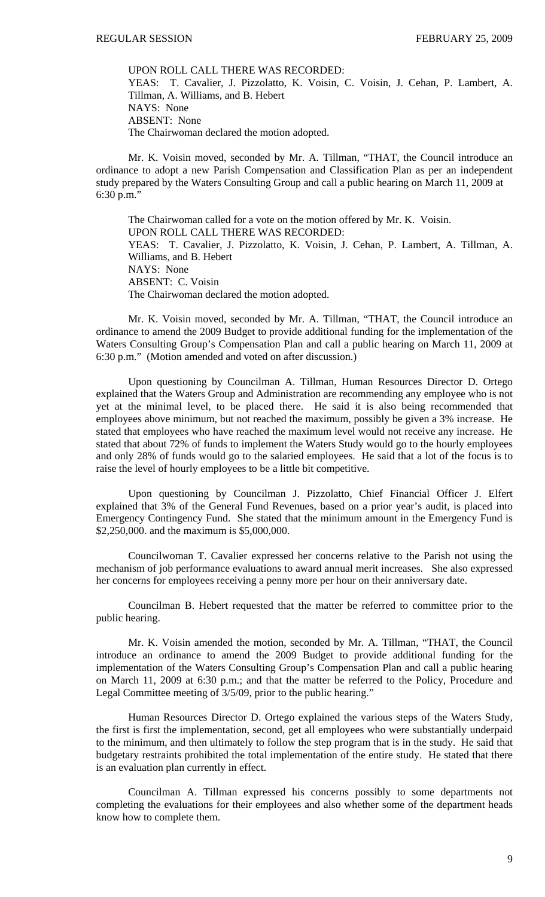UPON ROLL CALL THERE WAS RECORDED: YEAS: T. Cavalier, J. Pizzolatto, K. Voisin, C. Voisin, J. Cehan, P. Lambert, A. Tillman, A. Williams, and B. Hebert NAYS: None ABSENT: None The Chairwoman declared the motion adopted.

 Mr. K. Voisin moved, seconded by Mr. A. Tillman, "THAT, the Council introduce an ordinance to adopt a new Parish Compensation and Classification Plan as per an independent study prepared by the Waters Consulting Group and call a public hearing on March 11, 2009 at 6:30 p.m."

 The Chairwoman called for a vote on the motion offered by Mr. K. Voisin. UPON ROLL CALL THERE WAS RECORDED: YEAS: T. Cavalier, J. Pizzolatto, K. Voisin, J. Cehan, P. Lambert, A. Tillman, A. Williams, and B. Hebert NAYS: None ABSENT: C. Voisin The Chairwoman declared the motion adopted.

 Mr. K. Voisin moved, seconded by Mr. A. Tillman, "THAT, the Council introduce an ordinance to amend the 2009 Budget to provide additional funding for the implementation of the Waters Consulting Group's Compensation Plan and call a public hearing on March 11, 2009 at 6:30 p.m." (Motion amended and voted on after discussion.)

 Upon questioning by Councilman A. Tillman, Human Resources Director D. Ortego explained that the Waters Group and Administration are recommending any employee who is not yet at the minimal level, to be placed there. He said it is also being recommended that employees above minimum, but not reached the maximum, possibly be given a 3% increase. He stated that employees who have reached the maximum level would not receive any increase. He stated that about 72% of funds to implement the Waters Study would go to the hourly employees and only 28% of funds would go to the salaried employees. He said that a lot of the focus is to raise the level of hourly employees to be a little bit competitive.

 Upon questioning by Councilman J. Pizzolatto, Chief Financial Officer J. Elfert explained that 3% of the General Fund Revenues, based on a prior year's audit, is placed into Emergency Contingency Fund. She stated that the minimum amount in the Emergency Fund is \$2,250,000. and the maximum is \$5,000,000.

 Councilwoman T. Cavalier expressed her concerns relative to the Parish not using the mechanism of job performance evaluations to award annual merit increases. She also expressed her concerns for employees receiving a penny more per hour on their anniversary date.

 Councilman B. Hebert requested that the matter be referred to committee prior to the public hearing.

 Mr. K. Voisin amended the motion, seconded by Mr. A. Tillman, "THAT, the Council introduce an ordinance to amend the 2009 Budget to provide additional funding for the implementation of the Waters Consulting Group's Compensation Plan and call a public hearing on March 11, 2009 at 6:30 p.m.; and that the matter be referred to the Policy, Procedure and Legal Committee meeting of 3/5/09, prior to the public hearing."

 Human Resources Director D. Ortego explained the various steps of the Waters Study, the first is first the implementation, second, get all employees who were substantially underpaid to the minimum, and then ultimately to follow the step program that is in the study. He said that budgetary restraints prohibited the total implementation of the entire study. He stated that there is an evaluation plan currently in effect.

 Councilman A. Tillman expressed his concerns possibly to some departments not completing the evaluations for their employees and also whether some of the department heads know how to complete them.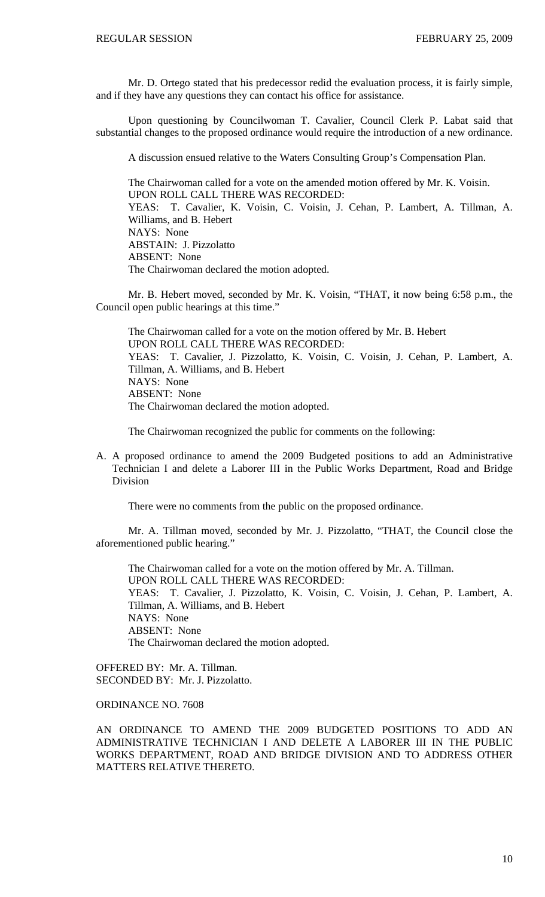Mr. D. Ortego stated that his predecessor redid the evaluation process, it is fairly simple, and if they have any questions they can contact his office for assistance.

 Upon questioning by Councilwoman T. Cavalier, Council Clerk P. Labat said that substantial changes to the proposed ordinance would require the introduction of a new ordinance.

A discussion ensued relative to the Waters Consulting Group's Compensation Plan.

 The Chairwoman called for a vote on the amended motion offered by Mr. K. Voisin. UPON ROLL CALL THERE WAS RECORDED: YEAS: T. Cavalier, K. Voisin, C. Voisin, J. Cehan, P. Lambert, A. Tillman, A. Williams, and B. Hebert NAYS: None ABSTAIN: J. Pizzolatto ABSENT: None The Chairwoman declared the motion adopted.

 Mr. B. Hebert moved, seconded by Mr. K. Voisin, "THAT, it now being 6:58 p.m., the Council open public hearings at this time."

 The Chairwoman called for a vote on the motion offered by Mr. B. Hebert UPON ROLL CALL THERE WAS RECORDED: YEAS: T. Cavalier, J. Pizzolatto, K. Voisin, C. Voisin, J. Cehan, P. Lambert, A. Tillman, A. Williams, and B. Hebert NAYS: None ABSENT: None The Chairwoman declared the motion adopted.

The Chairwoman recognized the public for comments on the following:

A. A proposed ordinance to amend the 2009 Budgeted positions to add an Administrative Technician I and delete a Laborer III in the Public Works Department, Road and Bridge Division

There were no comments from the public on the proposed ordinance.

 Mr. A. Tillman moved, seconded by Mr. J. Pizzolatto, "THAT, the Council close the aforementioned public hearing."

 The Chairwoman called for a vote on the motion offered by Mr. A. Tillman. UPON ROLL CALL THERE WAS RECORDED: YEAS: T. Cavalier, J. Pizzolatto, K. Voisin, C. Voisin, J. Cehan, P. Lambert, A. Tillman, A. Williams, and B. Hebert NAYS: None ABSENT: None The Chairwoman declared the motion adopted.

OFFERED BY: Mr. A. Tillman. SECONDED BY: Mr. J. Pizzolatto.

ORDINANCE NO. 7608

AN ORDINANCE TO AMEND THE 2009 BUDGETED POSITIONS TO ADD AN ADMINISTRATIVE TECHNICIAN I AND DELETE A LABORER III IN THE PUBLIC WORKS DEPARTMENT, ROAD AND BRIDGE DIVISION AND TO ADDRESS OTHER MATTERS RELATIVE THERETO.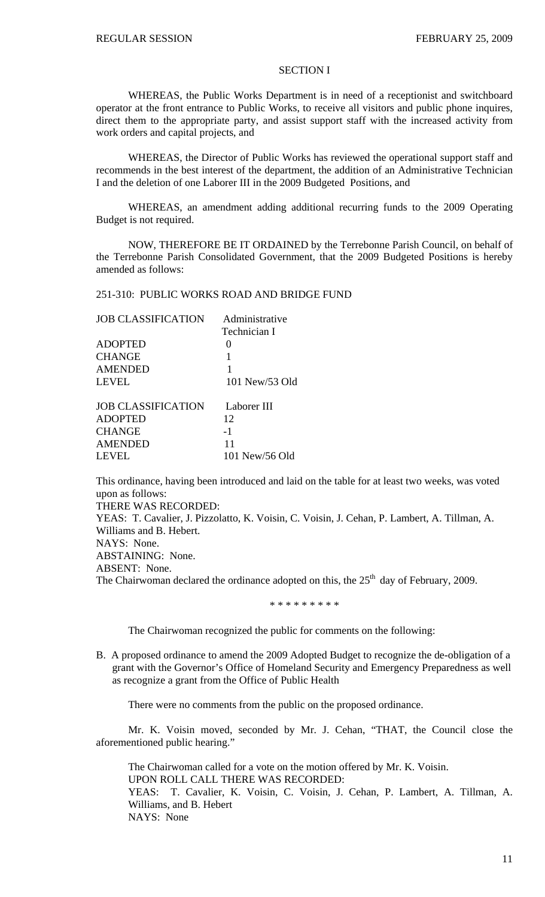# SECTION I

 WHEREAS, the Public Works Department is in need of a receptionist and switchboard operator at the front entrance to Public Works, to receive all visitors and public phone inquires, direct them to the appropriate party, and assist support staff with the increased activity from work orders and capital projects, and

 WHEREAS, the Director of Public Works has reviewed the operational support staff and recommends in the best interest of the department, the addition of an Administrative Technician I and the deletion of one Laborer III in the 2009 Budgeted Positions, and

 WHEREAS, an amendment adding additional recurring funds to the 2009 Operating Budget is not required.

 NOW, THEREFORE BE IT ORDAINED by the Terrebonne Parish Council, on behalf of the Terrebonne Parish Consolidated Government, that the 2009 Budgeted Positions is hereby amended as follows:

### 251-310: PUBLIC WORKS ROAD AND BRIDGE FUND

| <b>JOB CLASSIFICATION</b> | Administrative |  |  |
|---------------------------|----------------|--|--|
|                           | Technician I   |  |  |
| <b>ADOPTED</b>            | 0              |  |  |
| <b>CHANGE</b>             | 1              |  |  |
| <b>AMENDED</b>            | 1              |  |  |
| LEVEL                     | 101 New/53 Old |  |  |
| <b>JOB CLASSIFICATION</b> | Laborer III    |  |  |
| <b>ADOPTED</b>            | 12             |  |  |
| <b>CHANGE</b>             | $-1$           |  |  |
| <b>AMENDED</b>            | 11             |  |  |
| <b>LEVEL</b>              | 101 New/56 Old |  |  |

This ordinance, having been introduced and laid on the table for at least two weeks, was voted upon as follows:

THERE WAS RECORDED:

YEAS: T. Cavalier, J. Pizzolatto, K. Voisin, C. Voisin, J. Cehan, P. Lambert, A. Tillman, A. Williams and B. Hebert. NAYS: None.

ABSTAINING: None.

ABSENT: None.

The Chairwoman declared the ordinance adopted on this, the  $25<sup>th</sup>$  day of February, 2009.

\* \* \* \* \* \* \* \* \*

The Chairwoman recognized the public for comments on the following:

B. A proposed ordinance to amend the 2009 Adopted Budget to recognize the de-obligation of a grant with the Governor's Office of Homeland Security and Emergency Preparedness as well as recognize a grant from the Office of Public Health

There were no comments from the public on the proposed ordinance.

 Mr. K. Voisin moved, seconded by Mr. J. Cehan, "THAT, the Council close the aforementioned public hearing."

 The Chairwoman called for a vote on the motion offered by Mr. K. Voisin. UPON ROLL CALL THERE WAS RECORDED: YEAS: T. Cavalier, K. Voisin, C. Voisin, J. Cehan, P. Lambert, A. Tillman, A. Williams, and B. Hebert NAYS: None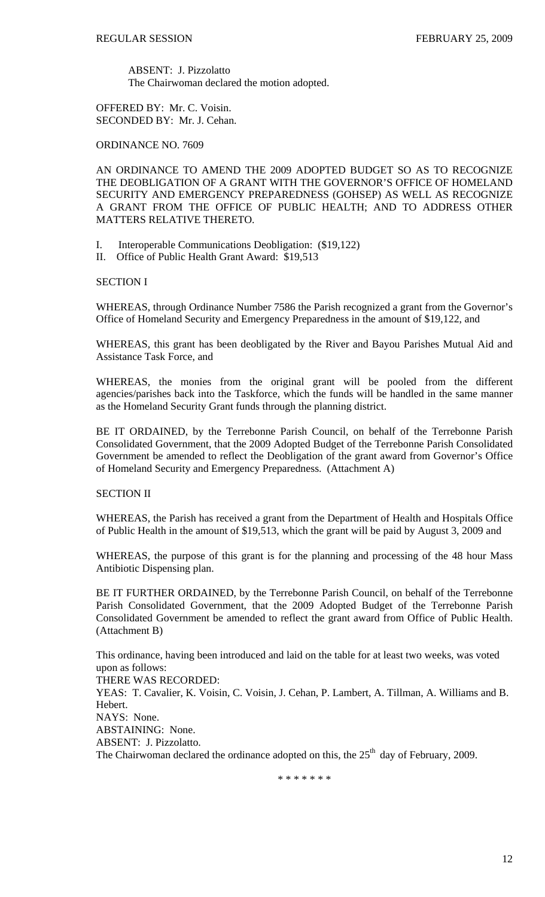ABSENT: J. Pizzolatto The Chairwoman declared the motion adopted.

OFFERED BY: Mr. C. Voisin. SECONDED BY: Mr. J. Cehan.

ORDINANCE NO. 7609

AN ORDINANCE TO AMEND THE 2009 ADOPTED BUDGET SO AS TO RECOGNIZE THE DEOBLIGATION OF A GRANT WITH THE GOVERNOR'S OFFICE OF HOMELAND SECURITY AND EMERGENCY PREPAREDNESS (GOHSEP) AS WELL AS RECOGNIZE A GRANT FROM THE OFFICE OF PUBLIC HEALTH; AND TO ADDRESS OTHER MATTERS RELATIVE THERETO.

- I. Interoperable Communications Deobligation: (\$19,122)
- II. Office of Public Health Grant Award: \$19,513

# SECTION I

WHEREAS, through Ordinance Number 7586 the Parish recognized a grant from the Governor's Office of Homeland Security and Emergency Preparedness in the amount of \$19,122, and

WHEREAS, this grant has been deobligated by the River and Bayou Parishes Mutual Aid and Assistance Task Force, and

WHEREAS, the monies from the original grant will be pooled from the different agencies/parishes back into the Taskforce, which the funds will be handled in the same manner as the Homeland Security Grant funds through the planning district.

BE IT ORDAINED, by the Terrebonne Parish Council, on behalf of the Terrebonne Parish Consolidated Government, that the 2009 Adopted Budget of the Terrebonne Parish Consolidated Government be amended to reflect the Deobligation of the grant award from Governor's Office of Homeland Security and Emergency Preparedness. (Attachment A)

SECTION II

WHEREAS, the Parish has received a grant from the Department of Health and Hospitals Office of Public Health in the amount of \$19,513, which the grant will be paid by August 3, 2009 and

WHEREAS, the purpose of this grant is for the planning and processing of the 48 hour Mass Antibiotic Dispensing plan.

BE IT FURTHER ORDAINED, by the Terrebonne Parish Council, on behalf of the Terrebonne Parish Consolidated Government, that the 2009 Adopted Budget of the Terrebonne Parish Consolidated Government be amended to reflect the grant award from Office of Public Health. (Attachment B)

This ordinance, having been introduced and laid on the table for at least two weeks, was voted upon as follows:

THERE WAS RECORDED:

YEAS: T. Cavalier, K. Voisin, C. Voisin, J. Cehan, P. Lambert, A. Tillman, A. Williams and B. Hebert. NAYS: None. ABSTAINING: None. ABSENT: J. Pizzolatto.

The Chairwoman declared the ordinance adopted on this, the  $25<sup>th</sup>$  day of February, 2009.

\* \* \* \* \* \* \*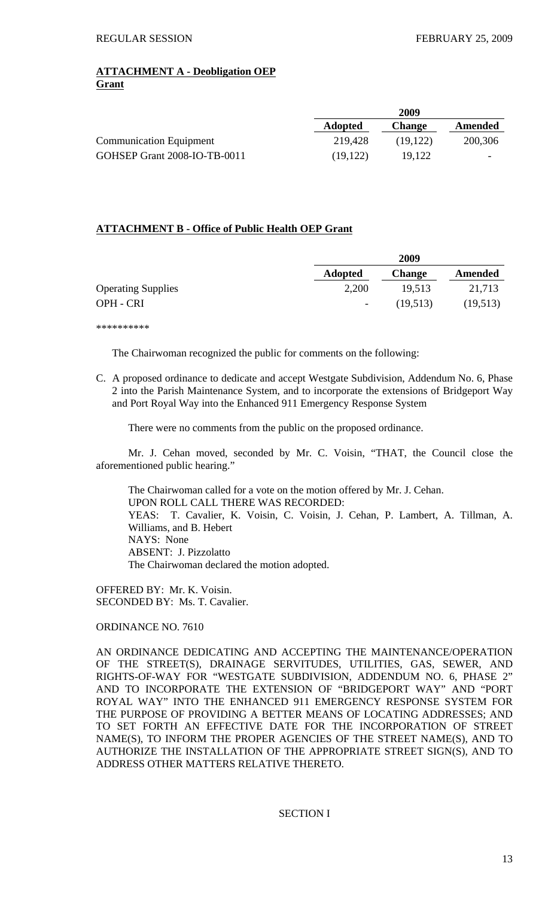# **ATTACHMENT A - Deobligation OEP Grant**

|                                | 2009           |               |         |
|--------------------------------|----------------|---------------|---------|
|                                | <b>Adopted</b> | <b>Change</b> | Amended |
| <b>Communication Equipment</b> | 219,428        | (19.122)      | 200,306 |
| GOHSEP Grant 2008-IO-TB-0011   | (19, 122)      | 19.122        |         |

# **ATTACHMENT B - Office of Public Health OEP Grant**

|                           | 2009                     |               |          |
|---------------------------|--------------------------|---------------|----------|
|                           | <b>Adopted</b>           | <b>Change</b> | Amended  |
| <b>Operating Supplies</b> | 2,200                    | 19,513        | 21,713   |
| OPH - CRI                 | $\overline{\phantom{a}}$ | (19,513)      | (19,513) |

\*\*\*\*\*\*\*\*\*\*

The Chairwoman recognized the public for comments on the following:

C. A proposed ordinance to dedicate and accept Westgate Subdivision, Addendum No. 6, Phase 2 into the Parish Maintenance System, and to incorporate the extensions of Bridgeport Way and Port Royal Way into the Enhanced 911 Emergency Response System

There were no comments from the public on the proposed ordinance.

 Mr. J. Cehan moved, seconded by Mr. C. Voisin, "THAT, the Council close the aforementioned public hearing."

 The Chairwoman called for a vote on the motion offered by Mr. J. Cehan. UPON ROLL CALL THERE WAS RECORDED: YEAS: T. Cavalier, K. Voisin, C. Voisin, J. Cehan, P. Lambert, A. Tillman, A. Williams, and B. Hebert NAYS: None ABSENT: J. Pizzolatto The Chairwoman declared the motion adopted.

OFFERED BY: Mr. K. Voisin. SECONDED BY: Ms. T. Cavalier.

# ORDINANCE NO. 7610

AN ORDINANCE DEDICATING AND ACCEPTING THE MAINTENANCE/OPERATION OF THE STREET(S), DRAINAGE SERVITUDES, UTILITIES, GAS, SEWER, AND RIGHTS-OF-WAY FOR "WESTGATE SUBDIVISION, ADDENDUM NO. 6, PHASE 2" AND TO INCORPORATE THE EXTENSION OF "BRIDGEPORT WAY" AND "PORT ROYAL WAY" INTO THE ENHANCED 911 EMERGENCY RESPONSE SYSTEM FOR THE PURPOSE OF PROVIDING A BETTER MEANS OF LOCATING ADDRESSES; AND TO SET FORTH AN EFFECTIVE DATE FOR THE INCORPORATION OF STREET NAME(S), TO INFORM THE PROPER AGENCIES OF THE STREET NAME(S), AND TO AUTHORIZE THE INSTALLATION OF THE APPROPRIATE STREET SIGN(S), AND TO ADDRESS OTHER MATTERS RELATIVE THERETO.

# SECTION I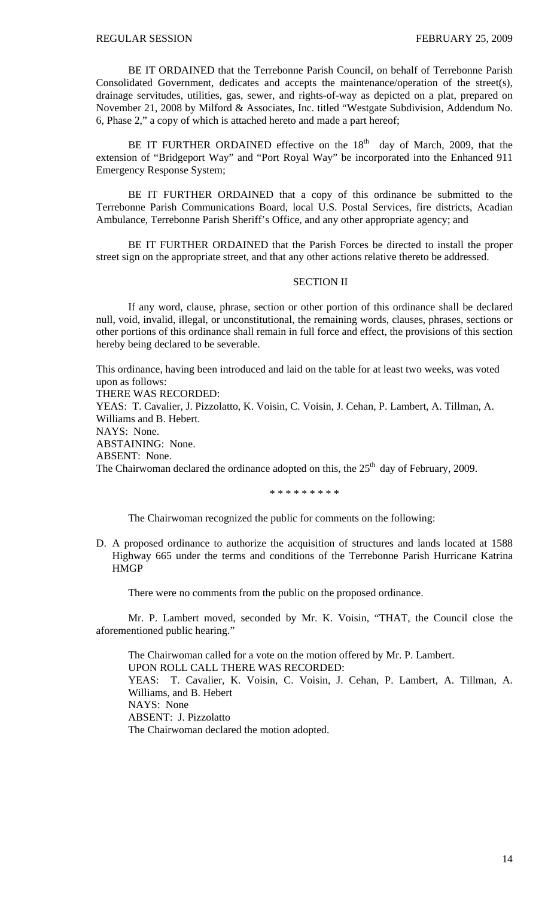BE IT ORDAINED that the Terrebonne Parish Council, on behalf of Terrebonne Parish Consolidated Government, dedicates and accepts the maintenance/operation of the street(s), drainage servitudes, utilities, gas, sewer, and rights-of-way as depicted on a plat, prepared on November 21, 2008 by Milford & Associates, Inc. titled "Westgate Subdivision, Addendum No. 6, Phase 2," a copy of which is attached hereto and made a part hereof;

BE IT FURTHER ORDAINED effective on the  $18<sup>th</sup>$  day of March, 2009, that the extension of "Bridgeport Way" and "Port Royal Way" be incorporated into the Enhanced 911 Emergency Response System;

BE IT FURTHER ORDAINED that a copy of this ordinance be submitted to the Terrebonne Parish Communications Board, local U.S. Postal Services, fire districts, Acadian Ambulance, Terrebonne Parish Sheriff's Office, and any other appropriate agency; and

BE IT FURTHER ORDAINED that the Parish Forces be directed to install the proper street sign on the appropriate street, and that any other actions relative thereto be addressed.

# SECTION II

If any word, clause, phrase, section or other portion of this ordinance shall be declared null, void, invalid, illegal, or unconstitutional, the remaining words, clauses, phrases, sections or other portions of this ordinance shall remain in full force and effect, the provisions of this section hereby being declared to be severable.

This ordinance, having been introduced and laid on the table for at least two weeks, was voted upon as follows: THERE WAS RECORDED: YEAS: T. Cavalier, J. Pizzolatto, K. Voisin, C. Voisin, J. Cehan, P. Lambert, A. Tillman, A. Williams and B. Hebert. NAYS: None. ABSTAINING: None. ABSENT: None. The Chairwoman declared the ordinance adopted on this, the  $25<sup>th</sup>$  day of February, 2009.

\* \* \* \* \* \* \* \* \*

The Chairwoman recognized the public for comments on the following:

D. A proposed ordinance to authorize the acquisition of structures and lands located at 1588 Highway 665 under the terms and conditions of the Terrebonne Parish Hurricane Katrina **HMGP** 

There were no comments from the public on the proposed ordinance.

 Mr. P. Lambert moved, seconded by Mr. K. Voisin, "THAT, the Council close the aforementioned public hearing."

 The Chairwoman called for a vote on the motion offered by Mr. P. Lambert. UPON ROLL CALL THERE WAS RECORDED: YEAS: T. Cavalier, K. Voisin, C. Voisin, J. Cehan, P. Lambert, A. Tillman, A. Williams, and B. Hebert NAYS: None ABSENT: J. Pizzolatto The Chairwoman declared the motion adopted.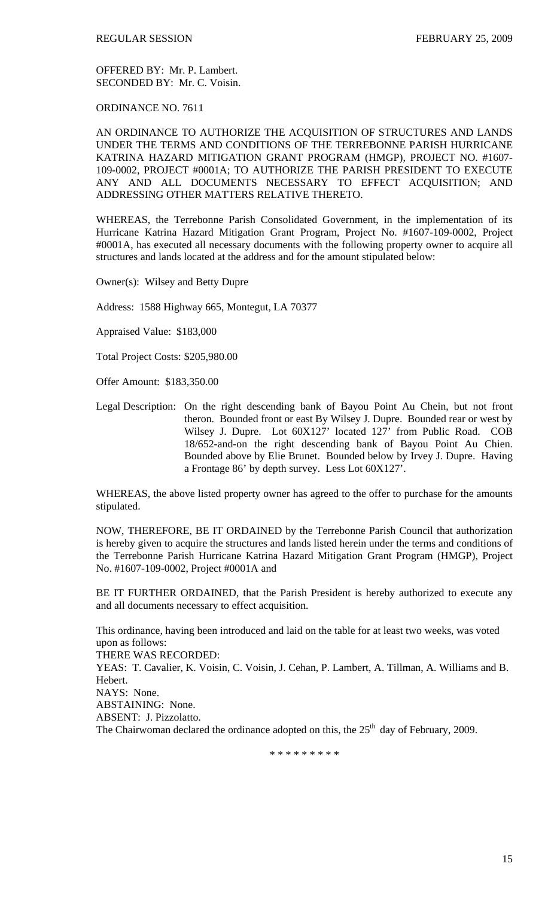OFFERED BY: Mr. P. Lambert. SECONDED BY: Mr. C. Voisin.

ORDINANCE NO. 7611

AN ORDINANCE TO AUTHORIZE THE ACQUISITION OF STRUCTURES AND LANDS UNDER THE TERMS AND CONDITIONS OF THE TERREBONNE PARISH HURRICANE KATRINA HAZARD MITIGATION GRANT PROGRAM (HMGP), PROJECT NO. #1607- 109-0002, PROJECT #0001A; TO AUTHORIZE THE PARISH PRESIDENT TO EXECUTE ANY AND ALL DOCUMENTS NECESSARY TO EFFECT ACQUISITION; AND ADDRESSING OTHER MATTERS RELATIVE THERETO.

WHEREAS, the Terrebonne Parish Consolidated Government, in the implementation of its Hurricane Katrina Hazard Mitigation Grant Program, Project No. #1607-109-0002, Project #0001A, has executed all necessary documents with the following property owner to acquire all structures and lands located at the address and for the amount stipulated below:

Owner(s): Wilsey and Betty Dupre

Address: 1588 Highway 665, Montegut, LA 70377

Appraised Value: \$183,000

Total Project Costs: \$205,980.00

Offer Amount: \$183,350.00

Legal Description: On the right descending bank of Bayou Point Au Chein, but not front theron. Bounded front or east By Wilsey J. Dupre. Bounded rear or west by Wilsey J. Dupre. Lot 60X127' located 127' from Public Road. COB 18/652-and-on the right descending bank of Bayou Point Au Chien. Bounded above by Elie Brunet. Bounded below by Irvey J. Dupre. Having a Frontage 86' by depth survey. Less Lot 60X127'.

WHEREAS, the above listed property owner has agreed to the offer to purchase for the amounts stipulated.

NOW, THEREFORE, BE IT ORDAINED by the Terrebonne Parish Council that authorization is hereby given to acquire the structures and lands listed herein under the terms and conditions of the Terrebonne Parish Hurricane Katrina Hazard Mitigation Grant Program (HMGP), Project No. #1607-109-0002, Project #0001A and

BE IT FURTHER ORDAINED, that the Parish President is hereby authorized to execute any and all documents necessary to effect acquisition.

This ordinance, having been introduced and laid on the table for at least two weeks, was voted upon as follows:

THERE WAS RECORDED:

YEAS: T. Cavalier, K. Voisin, C. Voisin, J. Cehan, P. Lambert, A. Tillman, A. Williams and B. Hebert.

NAYS: None.

ABSTAINING: None.

ABSENT: J. Pizzolatto.

The Chairwoman declared the ordinance adopted on this, the  $25<sup>th</sup>$  day of February, 2009.

\* \* \* \* \* \* \* \* \*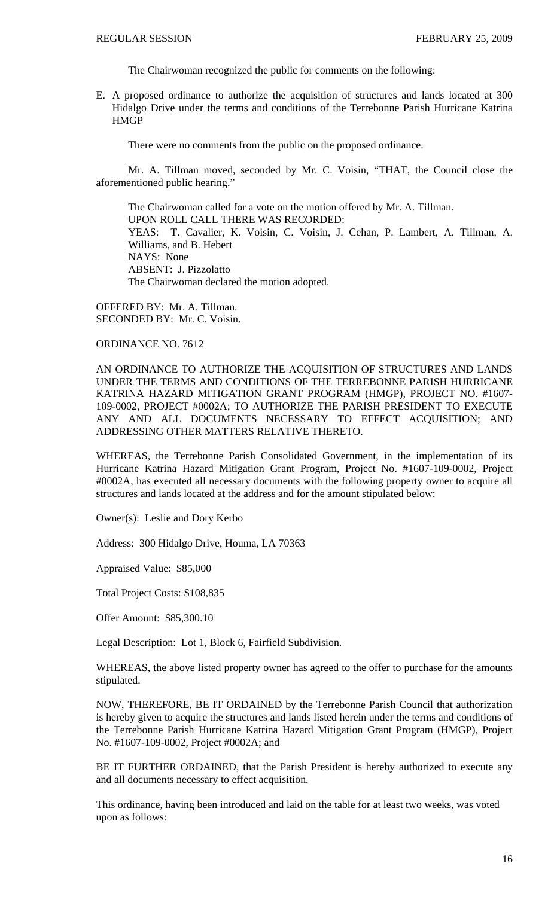The Chairwoman recognized the public for comments on the following:

E. A proposed ordinance to authorize the acquisition of structures and lands located at 300 Hidalgo Drive under the terms and conditions of the Terrebonne Parish Hurricane Katrina **HMGP** 

There were no comments from the public on the proposed ordinance.

 Mr. A. Tillman moved, seconded by Mr. C. Voisin, "THAT, the Council close the aforementioned public hearing."

 The Chairwoman called for a vote on the motion offered by Mr. A. Tillman. UPON ROLL CALL THERE WAS RECORDED: YEAS: T. Cavalier, K. Voisin, C. Voisin, J. Cehan, P. Lambert, A. Tillman, A. Williams, and B. Hebert NAYS: None ABSENT: J. Pizzolatto The Chairwoman declared the motion adopted.

OFFERED BY: Mr. A. Tillman. SECONDED BY: Mr. C. Voisin.

ORDINANCE NO. 7612

AN ORDINANCE TO AUTHORIZE THE ACQUISITION OF STRUCTURES AND LANDS UNDER THE TERMS AND CONDITIONS OF THE TERREBONNE PARISH HURRICANE KATRINA HAZARD MITIGATION GRANT PROGRAM (HMGP), PROJECT NO. #1607- 109-0002, PROJECT #0002A; TO AUTHORIZE THE PARISH PRESIDENT TO EXECUTE ANY AND ALL DOCUMENTS NECESSARY TO EFFECT ACQUISITION; AND ADDRESSING OTHER MATTERS RELATIVE THERETO.

WHEREAS, the Terrebonne Parish Consolidated Government, in the implementation of its Hurricane Katrina Hazard Mitigation Grant Program, Project No. #1607-109-0002, Project #0002A, has executed all necessary documents with the following property owner to acquire all structures and lands located at the address and for the amount stipulated below:

Owner(s): Leslie and Dory Kerbo

Address: 300 Hidalgo Drive, Houma, LA 70363

Appraised Value: \$85,000

Total Project Costs: \$108,835

Offer Amount: \$85,300.10

Legal Description: Lot 1, Block 6, Fairfield Subdivision.

WHEREAS, the above listed property owner has agreed to the offer to purchase for the amounts stipulated.

NOW, THEREFORE, BE IT ORDAINED by the Terrebonne Parish Council that authorization is hereby given to acquire the structures and lands listed herein under the terms and conditions of the Terrebonne Parish Hurricane Katrina Hazard Mitigation Grant Program (HMGP), Project No. #1607-109-0002, Project #0002A; and

BE IT FURTHER ORDAINED, that the Parish President is hereby authorized to execute any and all documents necessary to effect acquisition.

This ordinance, having been introduced and laid on the table for at least two weeks, was voted upon as follows: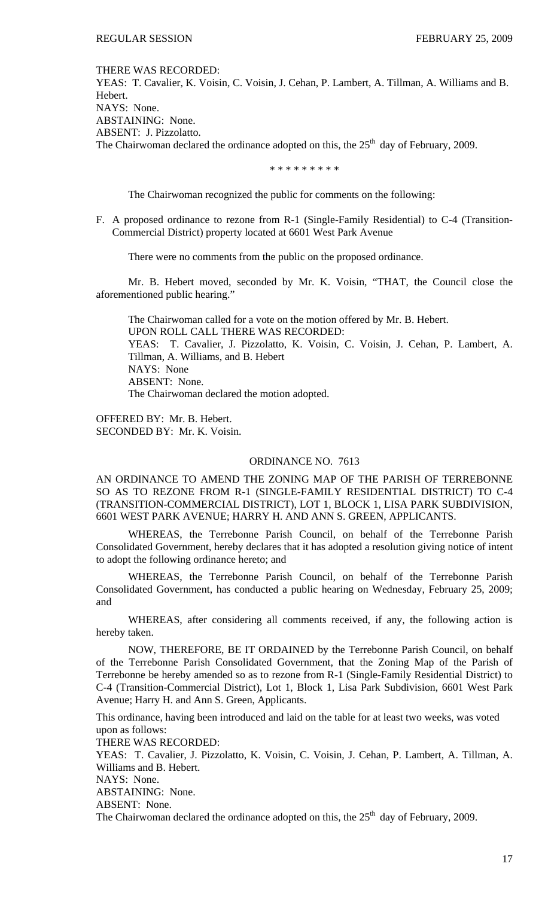#### THERE WAS RECORDED:

YEAS: T. Cavalier, K. Voisin, C. Voisin, J. Cehan, P. Lambert, A. Tillman, A. Williams and B. Hebert. NAYS: None. ABSTAINING: None. ABSENT: J. Pizzolatto. The Chairwoman declared the ordinance adopted on this, the  $25<sup>th</sup>$  day of February, 2009.

\* \* \* \* \* \* \* \* \*

The Chairwoman recognized the public for comments on the following:

F. A proposed ordinance to rezone from R-1 (Single-Family Residential) to C-4 (Transition-Commercial District) property located at 6601 West Park Avenue

There were no comments from the public on the proposed ordinance.

 Mr. B. Hebert moved, seconded by Mr. K. Voisin, "THAT, the Council close the aforementioned public hearing."

 The Chairwoman called for a vote on the motion offered by Mr. B. Hebert. UPON ROLL CALL THERE WAS RECORDED: YEAS: T. Cavalier, J. Pizzolatto, K. Voisin, C. Voisin, J. Cehan, P. Lambert, A. Tillman, A. Williams, and B. Hebert NAYS: None ABSENT: None. The Chairwoman declared the motion adopted.

OFFERED BY: Mr. B. Hebert. SECONDED BY: Mr. K. Voisin.

### ORDINANCE NO. 7613

AN ORDINANCE TO AMEND THE ZONING MAP OF THE PARISH OF TERREBONNE SO AS TO REZONE FROM R-1 (SINGLE-FAMILY RESIDENTIAL DISTRICT) TO C-4 (TRANSITION-COMMERCIAL DISTRICT), LOT 1, BLOCK 1, LISA PARK SUBDIVISION, 6601 WEST PARK AVENUE; HARRY H. AND ANN S. GREEN, APPLICANTS.

WHEREAS, the Terrebonne Parish Council, on behalf of the Terrebonne Parish Consolidated Government, hereby declares that it has adopted a resolution giving notice of intent to adopt the following ordinance hereto; and

WHEREAS, the Terrebonne Parish Council, on behalf of the Terrebonne Parish Consolidated Government, has conducted a public hearing on Wednesday, February 25, 2009; and

WHEREAS, after considering all comments received, if any, the following action is hereby taken.

NOW, THEREFORE, BE IT ORDAINED by the Terrebonne Parish Council, on behalf of the Terrebonne Parish Consolidated Government, that the Zoning Map of the Parish of Terrebonne be hereby amended so as to rezone from R-1 (Single-Family Residential District) to C-4 (Transition-Commercial District), Lot 1, Block 1, Lisa Park Subdivision, 6601 West Park Avenue; Harry H. and Ann S. Green, Applicants.

This ordinance, having been introduced and laid on the table for at least two weeks, was voted upon as follows:

THERE WAS RECORDED:

YEAS: T. Cavalier, J. Pizzolatto, K. Voisin, C. Voisin, J. Cehan, P. Lambert, A. Tillman, A. Williams and B. Hebert.

NAYS: None.

ABSTAINING: None.

ABSENT: None.

The Chairwoman declared the ordinance adopted on this, the  $25<sup>th</sup>$  day of February, 2009.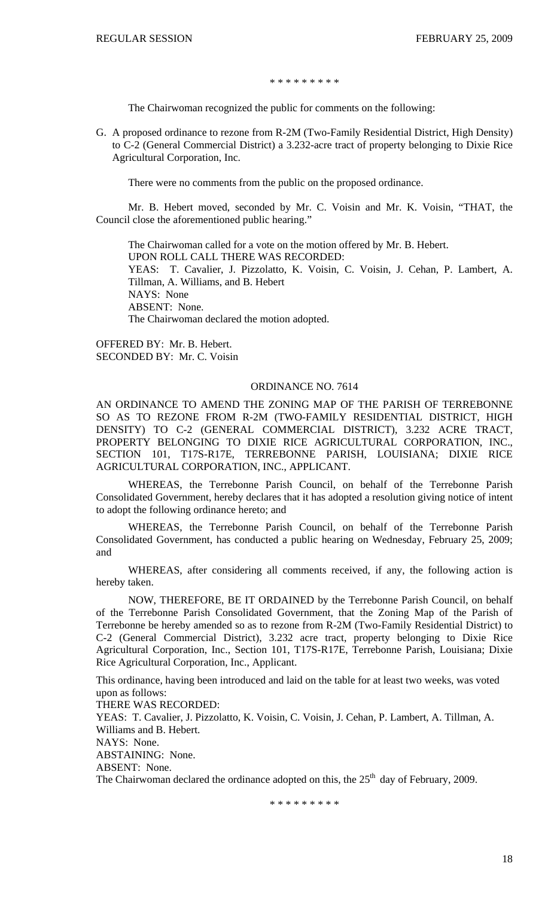#### \* \* \* \* \* \* \* \* \*

The Chairwoman recognized the public for comments on the following:

G. A proposed ordinance to rezone from R-2M (Two-Family Residential District, High Density) to C-2 (General Commercial District) a 3.232-acre tract of property belonging to Dixie Rice Agricultural Corporation, Inc.

There were no comments from the public on the proposed ordinance.

 Mr. B. Hebert moved, seconded by Mr. C. Voisin and Mr. K. Voisin, "THAT, the Council close the aforementioned public hearing."

 The Chairwoman called for a vote on the motion offered by Mr. B. Hebert. UPON ROLL CALL THERE WAS RECORDED: YEAS: T. Cavalier, J. Pizzolatto, K. Voisin, C. Voisin, J. Cehan, P. Lambert, A. Tillman, A. Williams, and B. Hebert NAYS: None ABSENT: None. The Chairwoman declared the motion adopted.

OFFERED BY: Mr. B. Hebert. SECONDED BY: Mr. C. Voisin

### ORDINANCE NO. 7614

AN ORDINANCE TO AMEND THE ZONING MAP OF THE PARISH OF TERREBONNE SO AS TO REZONE FROM R-2M (TWO-FAMILY RESIDENTIAL DISTRICT, HIGH DENSITY) TO C-2 (GENERAL COMMERCIAL DISTRICT), 3.232 ACRE TRACT, PROPERTY BELONGING TO DIXIE RICE AGRICULTURAL CORPORATION, INC., SECTION 101, T17S-R17E, TERREBONNE PARISH, LOUISIANA; DIXIE RICE AGRICULTURAL CORPORATION, INC., APPLICANT.

WHEREAS, the Terrebonne Parish Council, on behalf of the Terrebonne Parish Consolidated Government, hereby declares that it has adopted a resolution giving notice of intent to adopt the following ordinance hereto; and

WHEREAS, the Terrebonne Parish Council, on behalf of the Terrebonne Parish Consolidated Government, has conducted a public hearing on Wednesday, February 25, 2009; and

WHEREAS, after considering all comments received, if any, the following action is hereby taken.

NOW, THEREFORE, BE IT ORDAINED by the Terrebonne Parish Council, on behalf of the Terrebonne Parish Consolidated Government, that the Zoning Map of the Parish of Terrebonne be hereby amended so as to rezone from R-2M (Two-Family Residential District) to C-2 (General Commercial District), 3.232 acre tract, property belonging to Dixie Rice Agricultural Corporation, Inc., Section 101, T17S-R17E, Terrebonne Parish, Louisiana; Dixie Rice Agricultural Corporation, Inc., Applicant.

This ordinance, having been introduced and laid on the table for at least two weeks, was voted upon as follows:

THERE WAS RECORDED:

YEAS: T. Cavalier, J. Pizzolatto, K. Voisin, C. Voisin, J. Cehan, P. Lambert, A. Tillman, A. Williams and B. Hebert.

NAYS: None.

ABSTAINING: None.

ABSENT: None.

The Chairwoman declared the ordinance adopted on this, the  $25<sup>th</sup>$  day of February, 2009.

\* \* \* \* \* \* \* \* \*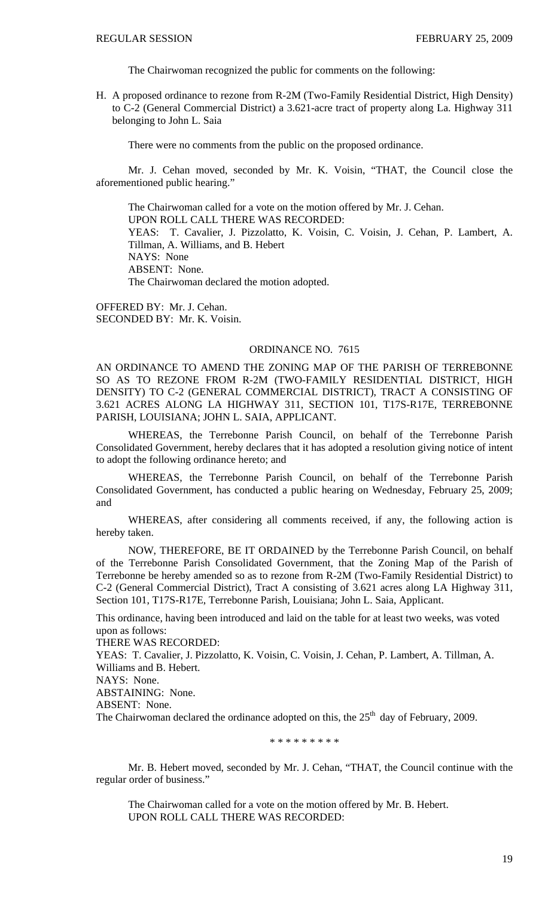The Chairwoman recognized the public for comments on the following:

H. A proposed ordinance to rezone from R-2M (Two-Family Residential District, High Density) to C-2 (General Commercial District) a 3.621-acre tract of property along La. Highway 311 belonging to John L. Saia

There were no comments from the public on the proposed ordinance.

 Mr. J. Cehan moved, seconded by Mr. K. Voisin, "THAT, the Council close the aforementioned public hearing."

 The Chairwoman called for a vote on the motion offered by Mr. J. Cehan. UPON ROLL CALL THERE WAS RECORDED: YEAS: T. Cavalier, J. Pizzolatto, K. Voisin, C. Voisin, J. Cehan, P. Lambert, A. Tillman, A. Williams, and B. Hebert NAYS: None ABSENT: None. The Chairwoman declared the motion adopted.

OFFERED BY: Mr. J. Cehan. SECONDED BY: Mr. K. Voisin.

#### ORDINANCE NO. 7615

AN ORDINANCE TO AMEND THE ZONING MAP OF THE PARISH OF TERREBONNE SO AS TO REZONE FROM R-2M (TWO-FAMILY RESIDENTIAL DISTRICT, HIGH DENSITY) TO C-2 (GENERAL COMMERCIAL DISTRICT), TRACT A CONSISTING OF 3.621 ACRES ALONG LA HIGHWAY 311, SECTION 101, T17S-R17E, TERREBONNE PARISH, LOUISIANA; JOHN L. SAIA, APPLICANT.

WHEREAS, the Terrebonne Parish Council, on behalf of the Terrebonne Parish Consolidated Government, hereby declares that it has adopted a resolution giving notice of intent to adopt the following ordinance hereto; and

WHEREAS, the Terrebonne Parish Council, on behalf of the Terrebonne Parish Consolidated Government, has conducted a public hearing on Wednesday, February 25, 2009; and

WHEREAS, after considering all comments received, if any, the following action is hereby taken.

NOW, THEREFORE, BE IT ORDAINED by the Terrebonne Parish Council, on behalf of the Terrebonne Parish Consolidated Government, that the Zoning Map of the Parish of Terrebonne be hereby amended so as to rezone from R-2M (Two-Family Residential District) to C-2 (General Commercial District), Tract A consisting of 3.621 acres along LA Highway 311, Section 101, T17S-R17E, Terrebonne Parish, Louisiana; John L. Saia, Applicant.

This ordinance, having been introduced and laid on the table for at least two weeks, was voted upon as follows:

THERE WAS RECORDED:

YEAS: T. Cavalier, J. Pizzolatto, K. Voisin, C. Voisin, J. Cehan, P. Lambert, A. Tillman, A. Williams and B. Hebert.

NAYS: None.

ABSTAINING: None.

ABSENT: None.

The Chairwoman declared the ordinance adopted on this, the  $25<sup>th</sup>$  day of February, 2009.

\* \* \* \* \* \* \* \* \*

Mr. B. Hebert moved, seconded by Mr. J. Cehan, "THAT, the Council continue with the regular order of business."

 The Chairwoman called for a vote on the motion offered by Mr. B. Hebert. UPON ROLL CALL THERE WAS RECORDED: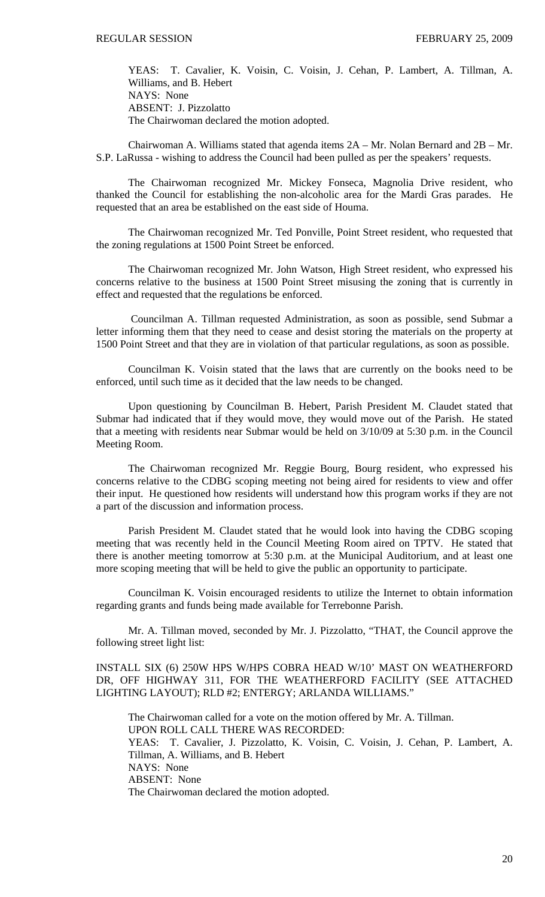YEAS: T. Cavalier, K. Voisin, C. Voisin, J. Cehan, P. Lambert, A. Tillman, A. Williams, and B. Hebert NAYS: None ABSENT: J. Pizzolatto The Chairwoman declared the motion adopted.

 Chairwoman A. Williams stated that agenda items 2A – Mr. Nolan Bernard and 2B – Mr. S.P. LaRussa - wishing to address the Council had been pulled as per the speakers' requests.

 The Chairwoman recognized Mr. Mickey Fonseca, Magnolia Drive resident, who thanked the Council for establishing the non-alcoholic area for the Mardi Gras parades. He requested that an area be established on the east side of Houma.

 The Chairwoman recognized Mr. Ted Ponville, Point Street resident, who requested that the zoning regulations at 1500 Point Street be enforced.

 The Chairwoman recognized Mr. John Watson, High Street resident, who expressed his concerns relative to the business at 1500 Point Street misusing the zoning that is currently in effect and requested that the regulations be enforced.

 Councilman A. Tillman requested Administration, as soon as possible, send Submar a letter informing them that they need to cease and desist storing the materials on the property at 1500 Point Street and that they are in violation of that particular regulations, as soon as possible.

 Councilman K. Voisin stated that the laws that are currently on the books need to be enforced, until such time as it decided that the law needs to be changed.

 Upon questioning by Councilman B. Hebert, Parish President M. Claudet stated that Submar had indicated that if they would move, they would move out of the Parish. He stated that a meeting with residents near Submar would be held on 3/10/09 at 5:30 p.m. in the Council Meeting Room.

 The Chairwoman recognized Mr. Reggie Bourg, Bourg resident, who expressed his concerns relative to the CDBG scoping meeting not being aired for residents to view and offer their input. He questioned how residents will understand how this program works if they are not a part of the discussion and information process.

 Parish President M. Claudet stated that he would look into having the CDBG scoping meeting that was recently held in the Council Meeting Room aired on TPTV. He stated that there is another meeting tomorrow at 5:30 p.m. at the Municipal Auditorium, and at least one more scoping meeting that will be held to give the public an opportunity to participate.

 Councilman K. Voisin encouraged residents to utilize the Internet to obtain information regarding grants and funds being made available for Terrebonne Parish.

 Mr. A. Tillman moved, seconded by Mr. J. Pizzolatto, "THAT, the Council approve the following street light list:

INSTALL SIX (6) 250W HPS W/HPS COBRA HEAD W/10' MAST ON WEATHERFORD DR, OFF HIGHWAY 311, FOR THE WEATHERFORD FACILITY (SEE ATTACHED LIGHTING LAYOUT); RLD #2; ENTERGY; ARLANDA WILLIAMS."

The Chairwoman called for a vote on the motion offered by Mr. A. Tillman. UPON ROLL CALL THERE WAS RECORDED: YEAS: T. Cavalier, J. Pizzolatto, K. Voisin, C. Voisin, J. Cehan, P. Lambert, A. Tillman, A. Williams, and B. Hebert NAYS: None ABSENT: None The Chairwoman declared the motion adopted.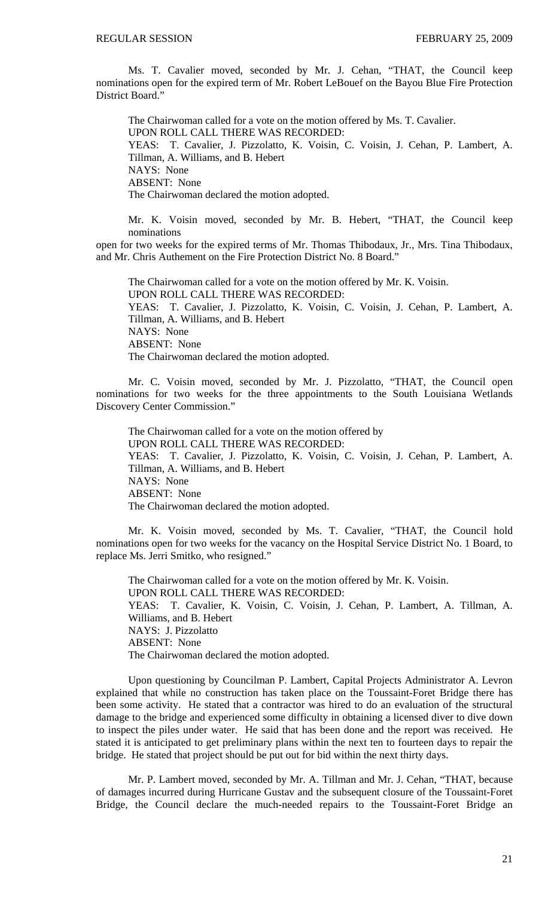Ms. T. Cavalier moved, seconded by Mr. J. Cehan, "THAT, the Council keep nominations open for the expired term of Mr. Robert LeBouef on the Bayou Blue Fire Protection District Board."

 The Chairwoman called for a vote on the motion offered by Ms. T. Cavalier. UPON ROLL CALL THERE WAS RECORDED: YEAS: T. Cavalier, J. Pizzolatto, K. Voisin, C. Voisin, J. Cehan, P. Lambert, A. Tillman, A. Williams, and B. Hebert NAYS: None ABSENT: None The Chairwoman declared the motion adopted.

Mr. K. Voisin moved, seconded by Mr. B. Hebert, "THAT, the Council keep nominations

open for two weeks for the expired terms of Mr. Thomas Thibodaux, Jr., Mrs. Tina Thibodaux, and Mr. Chris Authement on the Fire Protection District No. 8 Board."

 The Chairwoman called for a vote on the motion offered by Mr. K. Voisin. UPON ROLL CALL THERE WAS RECORDED: YEAS: T. Cavalier, J. Pizzolatto, K. Voisin, C. Voisin, J. Cehan, P. Lambert, A. Tillman, A. Williams, and B. Hebert NAYS: None ABSENT: None The Chairwoman declared the motion adopted.

Mr. C. Voisin moved, seconded by Mr. J. Pizzolatto, "THAT, the Council open nominations for two weeks for the three appointments to the South Louisiana Wetlands Discovery Center Commission."

 The Chairwoman called for a vote on the motion offered by UPON ROLL CALL THERE WAS RECORDED: YEAS: T. Cavalier, J. Pizzolatto, K. Voisin, C. Voisin, J. Cehan, P. Lambert, A. Tillman, A. Williams, and B. Hebert NAYS: None ABSENT: None The Chairwoman declared the motion adopted.

Mr. K. Voisin moved, seconded by Ms. T. Cavalier, "THAT, the Council hold nominations open for two weeks for the vacancy on the Hospital Service District No. 1 Board, to replace Ms. Jerri Smitko, who resigned."

 The Chairwoman called for a vote on the motion offered by Mr. K. Voisin. UPON ROLL CALL THERE WAS RECORDED: YEAS: T. Cavalier, K. Voisin, C. Voisin, J. Cehan, P. Lambert, A. Tillman, A. Williams, and B. Hebert NAYS: J. Pizzolatto ABSENT: None The Chairwoman declared the motion adopted.

 Upon questioning by Councilman P. Lambert, Capital Projects Administrator A. Levron explained that while no construction has taken place on the Toussaint-Foret Bridge there has been some activity. He stated that a contractor was hired to do an evaluation of the structural damage to the bridge and experienced some difficulty in obtaining a licensed diver to dive down to inspect the piles under water. He said that has been done and the report was received. He stated it is anticipated to get preliminary plans within the next ten to fourteen days to repair the bridge. He stated that project should be put out for bid within the next thirty days.

 Mr. P. Lambert moved, seconded by Mr. A. Tillman and Mr. J. Cehan, "THAT, because of damages incurred during Hurricane Gustav and the subsequent closure of the Toussaint-Foret Bridge, the Council declare the much-needed repairs to the Toussaint-Foret Bridge an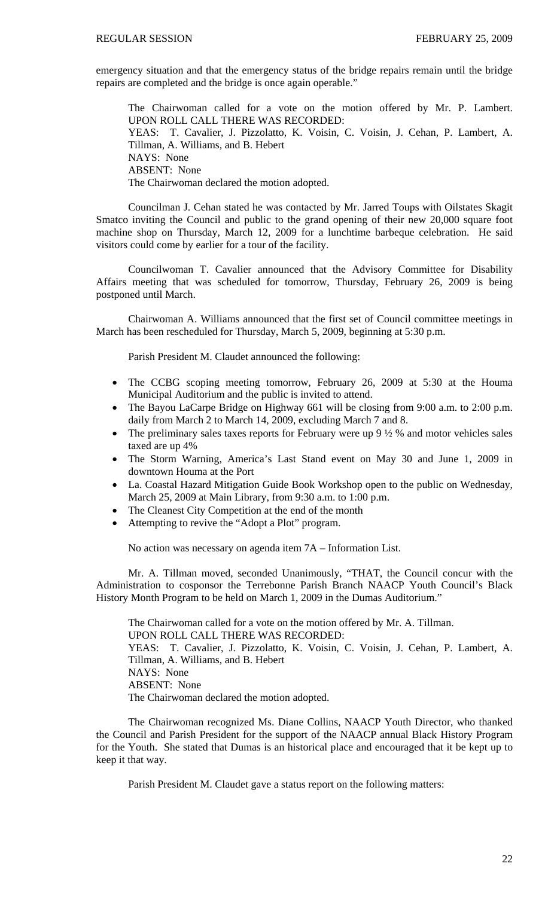emergency situation and that the emergency status of the bridge repairs remain until the bridge repairs are completed and the bridge is once again operable."

The Chairwoman called for a vote on the motion offered by Mr. P. Lambert. UPON ROLL CALL THERE WAS RECORDED: YEAS: T. Cavalier, J. Pizzolatto, K. Voisin, C. Voisin, J. Cehan, P. Lambert, A. Tillman, A. Williams, and B. Hebert NAYS: None ABSENT: None The Chairwoman declared the motion adopted.

 Councilman J. Cehan stated he was contacted by Mr. Jarred Toups with Oilstates Skagit Smatco inviting the Council and public to the grand opening of their new 20,000 square foot machine shop on Thursday, March 12, 2009 for a lunchtime barbeque celebration. He said visitors could come by earlier for a tour of the facility.

 Councilwoman T. Cavalier announced that the Advisory Committee for Disability Affairs meeting that was scheduled for tomorrow, Thursday, February 26, 2009 is being postponed until March.

 Chairwoman A. Williams announced that the first set of Council committee meetings in March has been rescheduled for Thursday, March 5, 2009, beginning at 5:30 p.m.

Parish President M. Claudet announced the following:

- The CCBG scoping meeting tomorrow, February 26, 2009 at 5:30 at the Houma Municipal Auditorium and the public is invited to attend.
- The Bayou LaCarpe Bridge on Highway 661 will be closing from 9:00 a.m. to 2:00 p.m. daily from March 2 to March 14, 2009, excluding March 7 and 8.
- The preliminary sales taxes reports for February were up  $9\frac{1}{2}\%$  and motor vehicles sales taxed are up 4%
- The Storm Warning, America's Last Stand event on May 30 and June 1, 2009 in downtown Houma at the Port
- La. Coastal Hazard Mitigation Guide Book Workshop open to the public on Wednesday, March 25, 2009 at Main Library, from 9:30 a.m. to 1:00 p.m.
- The Cleanest City Competition at the end of the month
- Attempting to revive the "Adopt a Plot" program.

No action was necessary on agenda item 7A – Information List.

 Mr. A. Tillman moved, seconded Unanimously, "THAT, the Council concur with the Administration to cosponsor the Terrebonne Parish Branch NAACP Youth Council's Black History Month Program to be held on March 1, 2009 in the Dumas Auditorium."

 The Chairwoman called for a vote on the motion offered by Mr. A. Tillman. UPON ROLL CALL THERE WAS RECORDED: YEAS: T. Cavalier, J. Pizzolatto, K. Voisin, C. Voisin, J. Cehan, P. Lambert, A. Tillman, A. Williams, and B. Hebert NAYS: None ABSENT: None The Chairwoman declared the motion adopted.

 The Chairwoman recognized Ms. Diane Collins, NAACP Youth Director, who thanked the Council and Parish President for the support of the NAACP annual Black History Program for the Youth. She stated that Dumas is an historical place and encouraged that it be kept up to keep it that way.

Parish President M. Claudet gave a status report on the following matters: